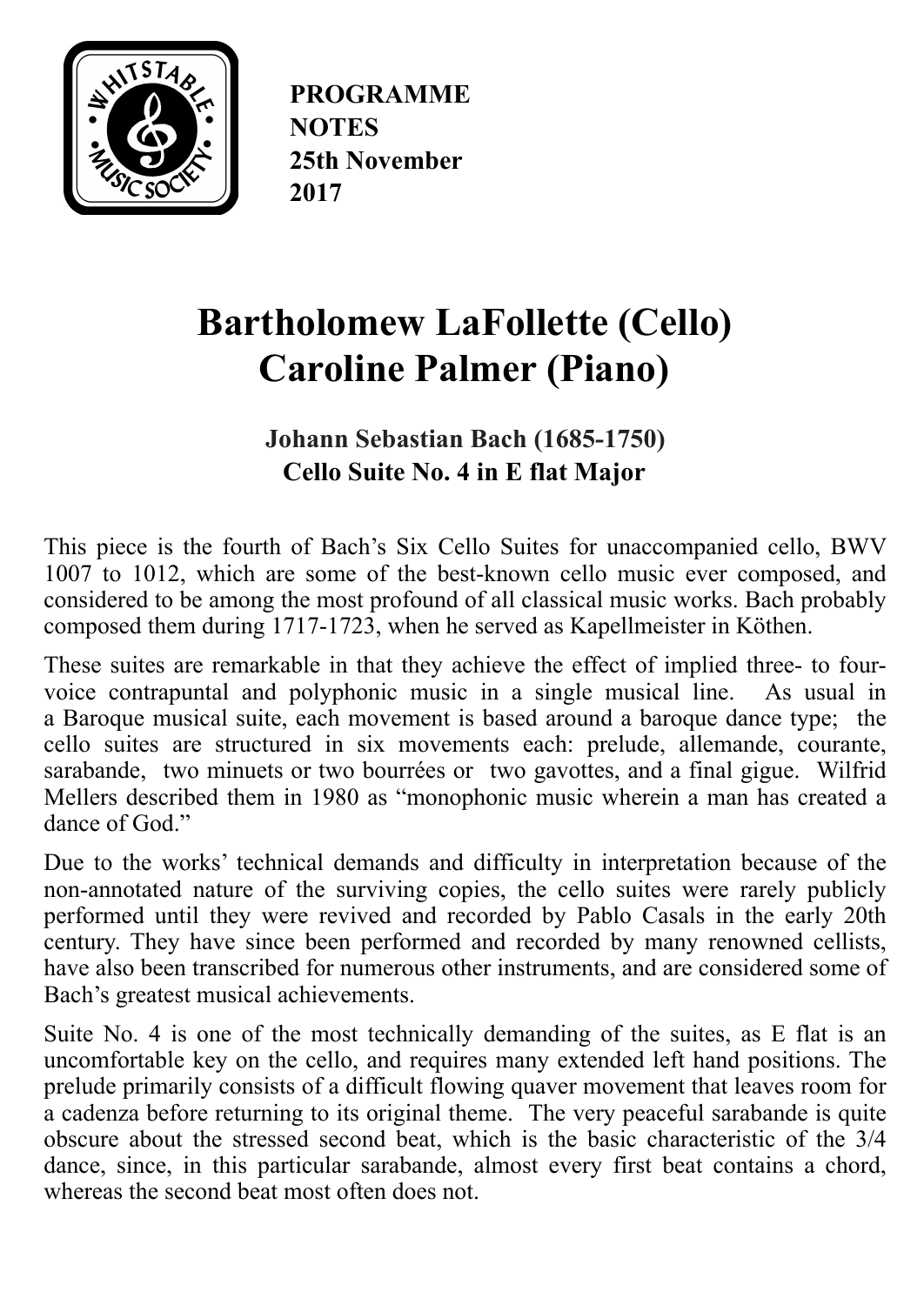

**PROGRAMME NOTES 25th November 2017**

# **Bartholomew LaFollette (Cello) Caroline Palmer (Piano)**

**Johann Sebastian Bach (1685-1750) Cello Suite No. 4 in E flat Major** 

This piece is the fourth of Bach's Six Cello Suites for unaccompanied cello, BWV 1007 to 1012, which are some of the best-known cello music ever composed, and considered to be among the most profound of all classical music works. Bach probably composed them during 1717-1723, when he served as Kapellmeister in [Köthen.](https://en.wikipedia.org/wiki/K%25C3%25B6then_(Anhalt))

These suites are remarkable in that they achieve the effect of implied three- to fourvoice [contrapuntal](https://en.wikipedia.org/wiki/Contrapuntal) and [polyphonic](https://en.wikipedia.org/wiki/Polyphonic) music in a single musical line. As usual in a [Baroque](https://en.wikipedia.org/wiki/Baroque_(music)) musical [suite](https://en.wikipedia.org/wiki/Suite_(music)#Dance_suite), each movement is based around a [baroque dance](https://en.wikipedia.org/wiki/Baroque_music#Dance_suite) type; the cello suites are structured in six movements each: prelude, allemande, courante, sarabande, two [minuets](https://en.wikipedia.org/wiki/Minuet) or two [bourrées](https://en.wikipedia.org/wiki/Bourr%25C3%25A9e) or two [gavottes](https://en.wikipedia.org/wiki/Gavotte), and a final [gigue](https://en.wikipedia.org/wiki/Gigue). [Wilfrid](https://en.wikipedia.org/wiki/Wilfrid_Mellers) [Mellers](https://en.wikipedia.org/wiki/Wilfrid_Mellers) described them in 1980 as "monophonic music wherein a man has created a dance of God."

Due to the works' technical demands and difficulty in interpretation because of the non-annotated nature of the surviving copies, the cello suites were rarely publicly performed until they were revived and recorded by [Pablo Casals](https://en.wikipedia.org/wiki/Pablo_Casals) in the early 20th century. They have since been performed and recorded by many renowned cellists, have also been transcribed for numerous other instruments, and are considered some of Bach's greatest musical achievements.

Suite No. 4 is one of the most technically demanding of the suites, as E flat is an uncomfortable key on the cello, and requires many extended left hand positions. The prelude primarily consists of a difficult flowing quaver movement that leaves room for a cadenza before returning to its original theme. The very peaceful sarabande is quite obscure about the stressed second beat, which is the basic characteristic of the 3/4 dance, since, in this particular sarabande, almost every first beat contains a chord, whereas the second beat most often does not.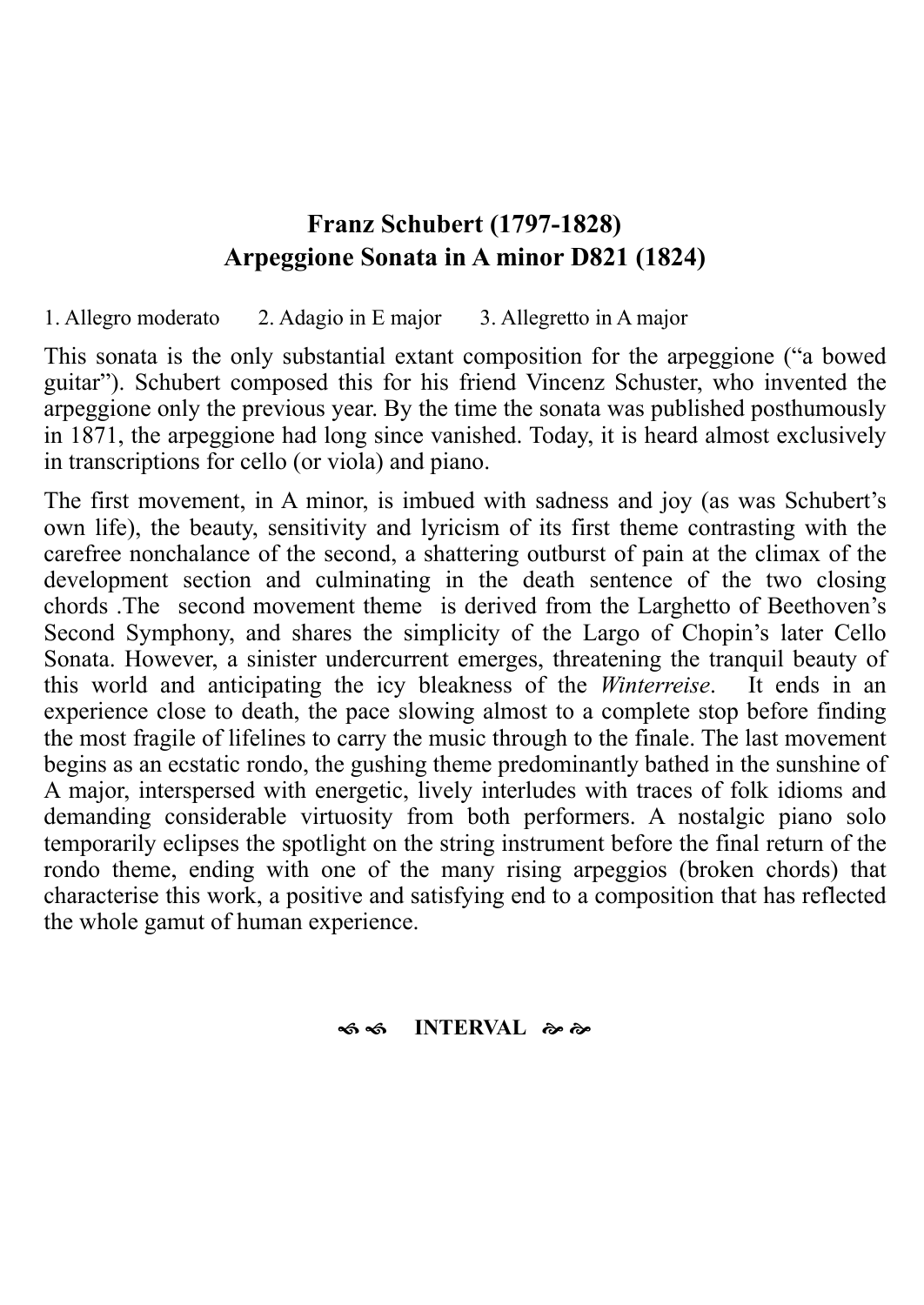### **Franz Schubert (1797-1828) Arpeggione Sonata in A minor D821 (1824)**

1. Allegro moderato 2. Adagio in [E major](https://en.wikipedia.org/wiki/E_major) 3. Allegretto in [A major](https://en.wikipedia.org/wiki/A_major)

This sonata is the only substantial extant composition for the [arpeggione](https://en.wikipedia.org/wiki/Arpeggione) ("a bowed guitar"). Schubert composed this for his friend [Vincenz Schuster,](https://en.wikipedia.org/w/index.php?title=Vincenz_Schuster&action=edit&redlink=1) who invented the arpeggione only the previous year. By the time the sonata was published posthumously in [1871,](https://en.wikipedia.org/wiki/1871_in_music) the arpeggione had long since vanished. Today, it is heard almost exclusively in transcriptions for cello (or viola) and piano.

The first movement, in A minor, is imbued with sadness and joy (as was Schubert's own life), the beauty, sensitivity and lyricism of its first theme contrasting with the carefree nonchalance of the second, a shattering outburst of pain at the climax of the development section and culminating in the death sentence of the two closing chords .The second movement theme is derived from the Larghetto of Beethoven's Second Symphony, and shares the simplicity of the Largo of Chopin's later Cello Sonata. However, a sinister undercurrent emerges, threatening the tranquil beauty of this world and anticipating the icy bleakness of the *Winterreise*. It ends in an experience close to death, the pace slowing almost to a complete stop before finding the most fragile of lifelines to carry the music through to the finale. The last movement begins as an ecstatic rondo, the gushing theme predominantly bathed in the sunshine of A major, interspersed with energetic, lively interludes with traces of folk idioms and demanding considerable virtuosity from both performers. A nostalgic piano solo temporarily eclipses the spotlight on the string instrument before the final return of the rondo theme, ending with one of the many rising arpeggios (broken chords) that characterise this work, a positive and satisfying end to a composition that has reflected the whole gamut of human experience.

#### $\bullet$  **6 ∞ INTERVAL** *& &*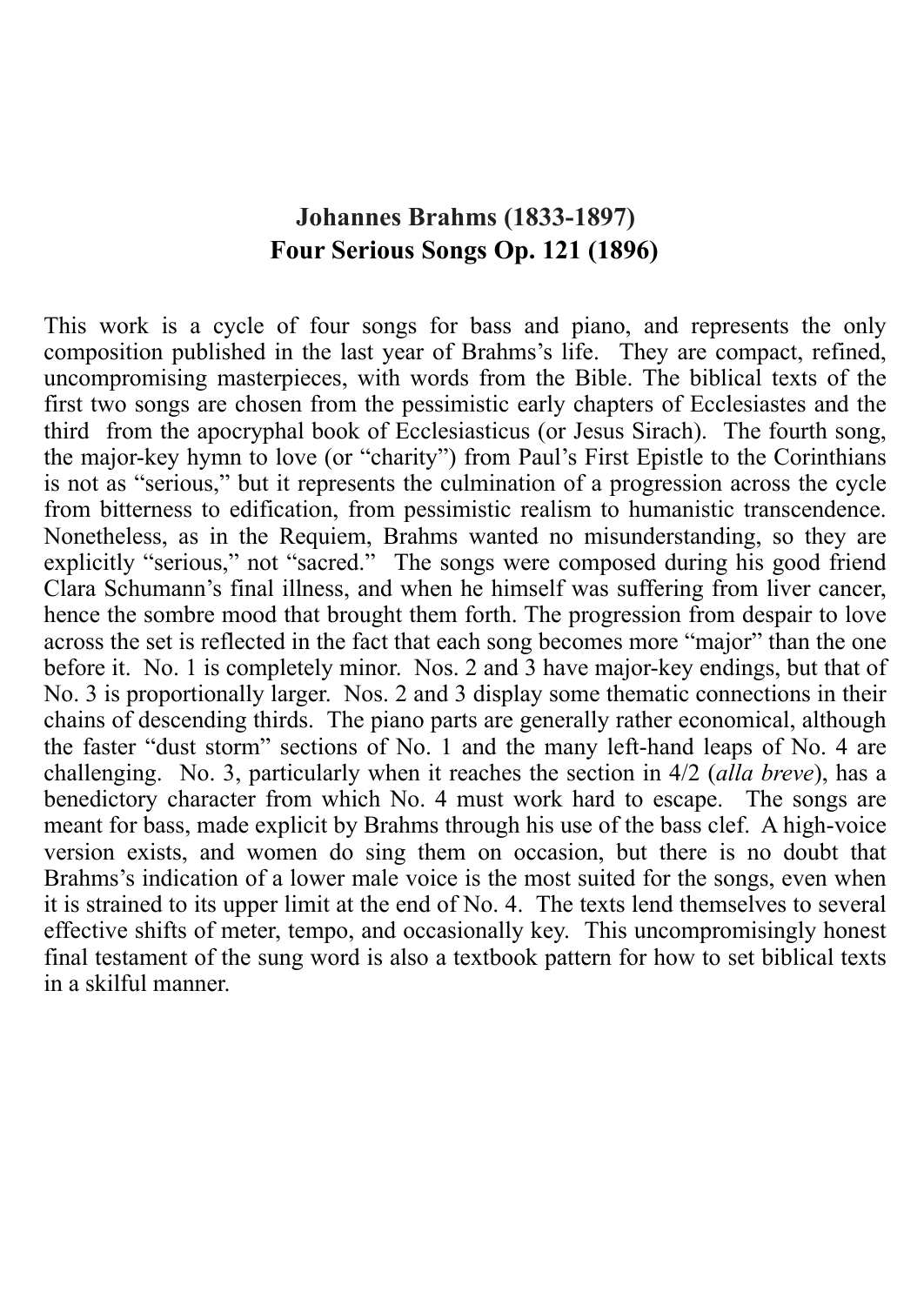## **Johannes Brahms (1833-1897) Four Serious Songs Op. 121 (1896)**

This work is a cycle of four [songs](https://en.wikipedia.org/wiki/Lied) for [bass](https://en.wikipedia.org/wiki/Bass_(voice_type)) and piano, and represents the only composition published in the last year of Brahms's life. They are compact, refined, uncompromising masterpieces, with words from the Bible. The biblical texts of the first two songs are chosen from the pessimistic early chapters of Ecclesiastes and the third from the apocryphal book of Ecclesiasticus (or Jesus Sirach). The fourth song, the major-key hymn to love (or "charity") from Paul's First Epistle to the Corinthians is not as "serious," but it represents the culmination of a progression across the cycle from bitterness to edification, from pessimistic realism to humanistic transcendence. Nonetheless, as in the Requiem, Brahms wanted no misunderstanding, so they are explicitly "serious," not "sacred." The songs were composed during his good friend Clara Schumann's final illness, and when he himself was suffering from liver cancer, hence the sombre mood that brought them forth. The progression from despair to love across the set is reflected in the fact that each song becomes more "major" than the one before it. No. 1 is completely minor. Nos. 2 and 3 have major-key endings, but that of No. 3 is proportionally larger. Nos. 2 and 3 display some thematic connections in their chains of descending thirds. The piano parts are generally rather economical, although the faster "dust storm" sections of No. 1 and the many left-hand leaps of No. 4 are challenging. No. 3, particularly when it reaches the section in 4/2 (*alla breve*), has a benedictory character from which No. 4 must work hard to escape. The songs are meant for bass, made explicit by Brahms through his use of the bass clef. A high-voice version exists, and women do sing them on occasion, but there is no doubt that Brahms's indication of a lower male voice is the most suited for the songs, even when it is strained to its upper limit at the end of No. 4. The texts lend themselves to several effective shifts of meter, tempo, and occasionally key. This uncompromisingly honest final testament of the sung word is also a textbook pattern for how to set biblical texts in a skilful manner.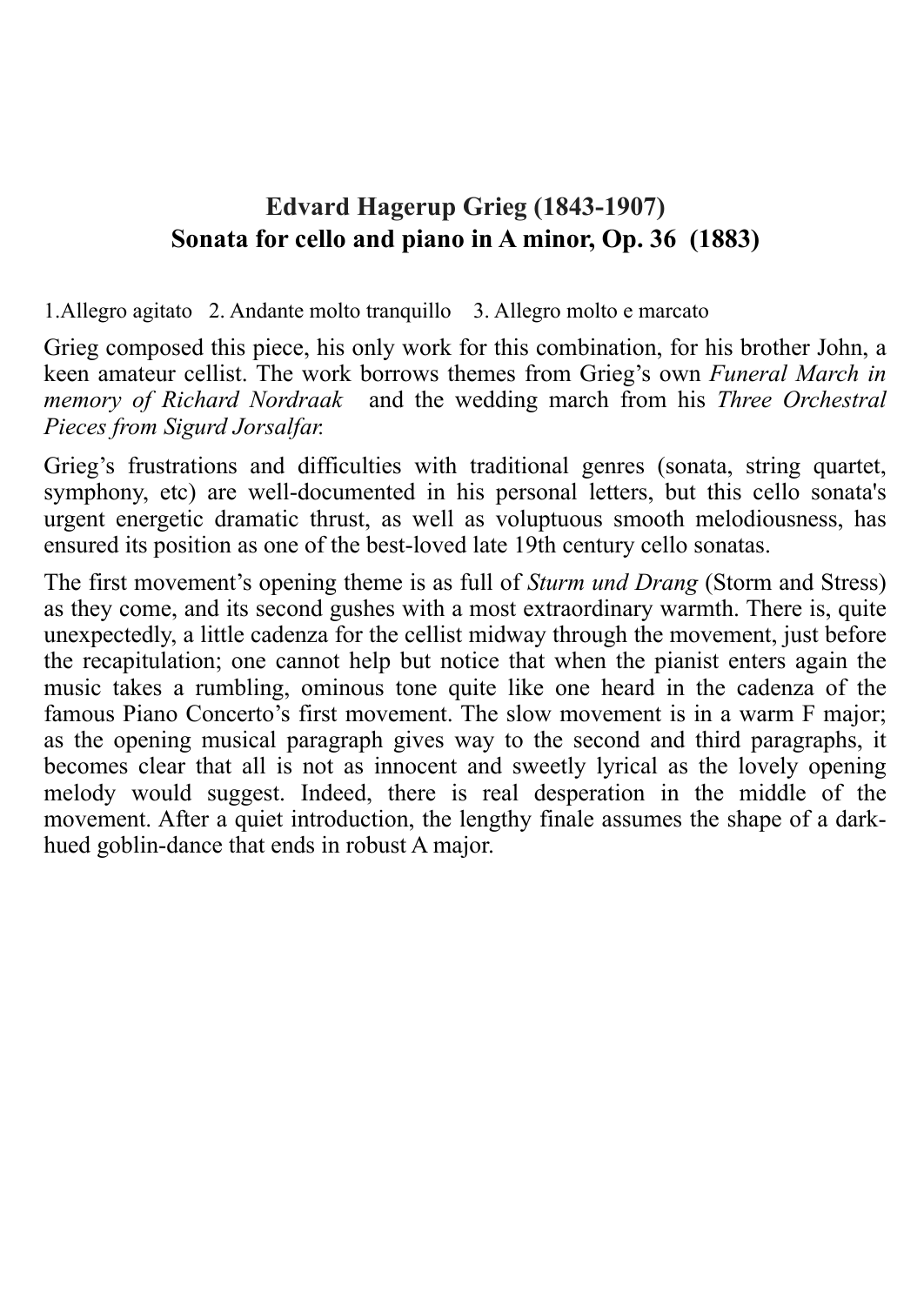# **Edvard Hagerup Grieg (1843-1907) Sonata for cello and piano in A minor, Op. 36 (1883)**

1.Allegro agitato 2. Andante molto tranquillo 3. Allegro molto e marcato

[Grieg](https://en.wikipedia.org/wiki/Edvard_Grieg) composed this piece, his only work for this combination, for his brother John, a keen amateur cellist. The work borrows themes from Grieg's own *[Funeral March](https://en.wikipedia.org/wiki/Funeral_March) in memory of Richard Nordraak* and the [wedding march](https://en.wikipedia.org/wiki/Wedding_march) from his *Three Orchestral Pieces from Sigurd Jorsalfar.*

[Grieg](https://www.allmusic.com/artist/grieg-mn0000198512)'s frustrations and difficulties with traditional genres (sonata, string quartet, symphony, etc) are well-documented in his personal letters, but this cello sonata's urgent energetic dramatic thrust, as well as voluptuous smooth melodiousness, has ensured its position as one of the best-loved late 19th century cello sonatas.

The first movement's opening theme is as full of *Sturm und Drang* (Storm and Stress) as they come, and its second gushes with a most extraordinary warmth. There is, quite unexpectedly, a little cadenza for the cellist midway through the movement, just before the recapitulation; one cannot help but notice that when the pianist enters again the music takes a rumbling, ominous tone quite like one heard in the cadenza of the famous Piano Concerto's first movement. The slow movement is in a warm F major; as the opening musical paragraph gives way to the second and third paragraphs, it becomes clear that all is not as innocent and sweetly lyrical as the lovely opening melody would suggest. Indeed, there is real desperation in the middle of the movement. After a quiet introduction, the lengthy finale assumes the shape of a darkhued goblin-dance that ends in robust A major.